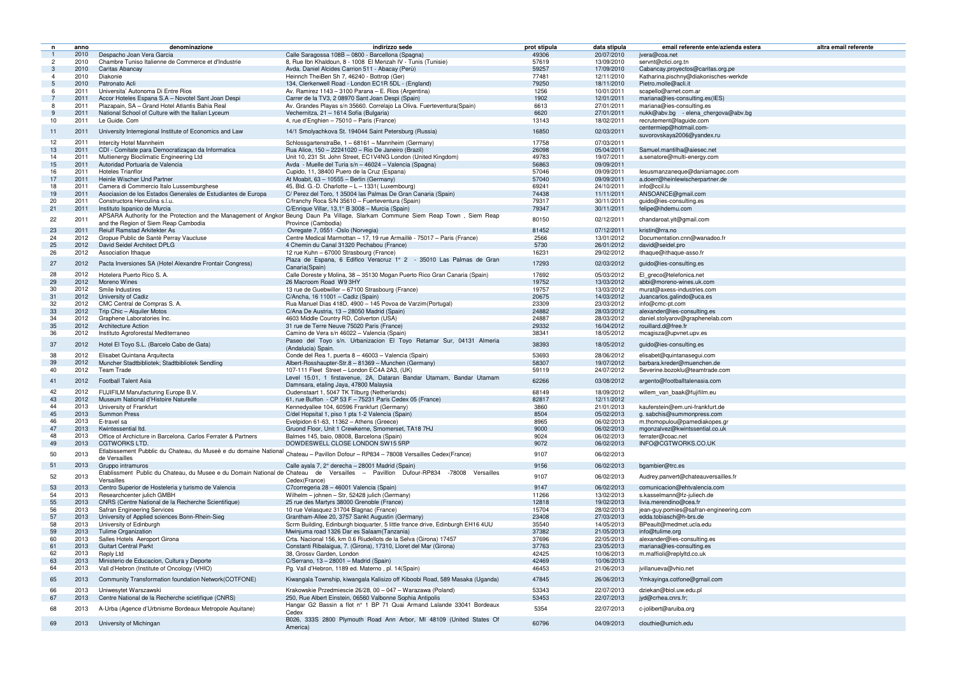|                |      |                                                                                                                 | indirizzo sede                                                                                                                                       |              |              | altra email referente<br>email referente ente/azienda estera |
|----------------|------|-----------------------------------------------------------------------------------------------------------------|------------------------------------------------------------------------------------------------------------------------------------------------------|--------------|--------------|--------------------------------------------------------------|
| n              | anno | denominazione                                                                                                   |                                                                                                                                                      | prot stipula | data stipula |                                                              |
|                | 2010 | Despacho Joan Vera Garcia                                                                                       | Calle Saragossa 108B - 0800 - Barcellona (Spagna)                                                                                                    | 49306        | 20/07/2010   | jvera@coa.net                                                |
| $\overline{c}$ | 2010 | Chambre Tuniso Italienne de Commerce et d'Industrie                                                             | 8, Rue Ibn Khaldoun, 8 - 1008 El Menzah IV - Tunis (Tunisie)                                                                                         | 57619        | 13/09/2010   | servnt@ctici.org.tn                                          |
| -3             | 2010 | Caritas Abancay                                                                                                 | Avda. Daniel Alcides Carrion 511 - Abacay (Perù)                                                                                                     | 59257        | 17/09/2010   | Cabancay.proyectos@caritas.org.pe                            |
|                | 2010 | Diakonie                                                                                                        | Heinnch TheiBen Sh 7, 46240 - Bottrop (Ger)                                                                                                          | 77481        | 12/11/2010   | Katharina.pischny@diakonisches-werkde                        |
| -5             | 2010 | Patronato Acli                                                                                                  | 134, Clerkenwell Road - London EC1R 5DL - (England)                                                                                                  | 79250        | 18/11/2010   | Pietro.molle@acli.it                                         |
| -6             | 2011 | Universita' Autonoma Di Entre Rios                                                                              | Av. Ramirez 1143 - 3100 Parana - E. Rios (Argentina)                                                                                                 | 1256         | 10/01/2011   | scapello@arnet.com.ar                                        |
|                | 2011 | Accor Hoteles Espana S.A - Novotel Sant Joan Despi                                                              | Carrer de la TV3, 2 08970 Sant Joan Despi (Spain)                                                                                                    | 1902         | 12/01/2011   | mariana@ies-consulting.es(IES)                               |
| 8              | 2011 | Plazapain, SA - Grand Hotel Atlantis Bahia Real                                                                 | Av. Grandes Playas s/n 35660. Correlajo La Oliva. Fuerteventura (Spain)                                                                              | 6613         | 27/01/2011   | mariana@ies-consulting.es                                    |
|                | 2011 | National School of Culture with the Italian Lyceum                                                              | Vechernitza, 21 - 1614 Sofia (Bulgaria)                                                                                                              | 6620         | 27/01/2011   | nukk@abv.bg - elena chergova@abv.bg                          |
| 10             | 2011 | Le Guide. Com                                                                                                   | 4, rue d'Enghien - 75010 - Paris (France)                                                                                                            | 13143        | 18/02/2011   | recrutement@laguide.com                                      |
| 11             | 2011 | University Interregional Institute of Economics and Law                                                         | 14/1 Smolyachkova St. 194044 Saint Petersburg (Russia)                                                                                               | 16850        | 02/03/2011   | centermiep@hotmail.com-                                      |
|                |      |                                                                                                                 |                                                                                                                                                      |              |              | suvorovskaya2006@yandex.ru                                   |
| 12             | 2011 | Intercity Hotel Mannheim                                                                                        | SchlossgartenstraBe. 1 - 68161 - Mannheim (Germany)                                                                                                  | 17758        | 07/03/2011   |                                                              |
| 13             | 2011 | CDI - Comitate para Democratizaçao da Informatica                                                               | Rua Alice, 150 - 22241020 - Rio De Janeiro (Brazil)                                                                                                  | 26098        | 05/04/2011   | Samuel.mantilha@aiesec.net                                   |
| 14             | 2011 | Multienergy Bioclimatic Engineering Ltd                                                                         | Unit 10, 231 St. John Street, EC1V4NG London (United Kingdom)                                                                                        | 49783        | 19/07/2011   | a.senatore@multi-energy.com                                  |
| 15             | 2011 | Autoridad Portuaria de Valencia                                                                                 | Avda - Muelle del Turia s/n - 46024 - Valencia (Spagna)                                                                                              | 56863        | 09/09/2011   |                                                              |
| 16             | 2011 | <b>Hoteles Trianflor</b>                                                                                        | Cupido, 11, 38400 Puero de la Cruz (Espana)                                                                                                          | 57046        | 09/09/2011   | lesusmanzaneque@daniamagec.com                               |
| 17             | 2011 | Heinle Wischer Und Partner                                                                                      | At Moabit, 63 - 10555 - Berlin (Germany)                                                                                                             | 57040        | 09/09/2011   | a.doerr@heinlewischerpartner.de                              |
| 18             | 2011 | Camera di Commercio Italo Lussemburghese                                                                        | 45, Bld. G.-D. Charlotte $-L - 1331$ (Luxembourg)                                                                                                    | 69241        | 24/10/2011   | info@ccil.lu                                                 |
| 19             | 2011 | Asociasion de los Estados Generales de Estudiantes de Europa                                                    | C/ Perez del Toro, 1 35004 las Palmas De Gran Canaria (Spain)                                                                                        | 74438        | 11/11/2011   | ANSOANCE@gmail.com                                           |
| 20             | 2011 | Constructora Herculina s.l.u.                                                                                   | C/franchy Roca S/N 35610 - Fuerteventura (Spain)                                                                                                     | 79317        | 30/11/2011   | guido@ies-consulting.es                                      |
| 21             | 2011 | Instituto Ispanico de Murcia                                                                                    | C/Enrique Villar, 13,1° B 3008 - Murcia (Spain)                                                                                                      | 79347        | 30/11/2011   | felipe@ihdemu.com                                            |
|                |      |                                                                                                                 | APSARA Authority for the Protection and the Management of Angkor Beung Daun Pa Village, Slarkam Commune Siem Reap Town, Siem Reap                    |              |              |                                                              |
| 22             | 2011 |                                                                                                                 |                                                                                                                                                      | 80150        | 02/12/2011   | chandaroat.yit@gmail.com                                     |
|                |      | and the Region of Siem Reap Cambodia                                                                            | Province (Cambodia)                                                                                                                                  |              |              |                                                              |
| 23             | 2011 | Reiulf Ramstad Arkitekter As                                                                                    | Ovregate 7, 0551 - Oslo (Norvegia)                                                                                                                   | 81452        | 07/12/2011   | kristin@rra.no                                               |
| 24             | 2012 | Gropue Public de Santè Perray Vaucluse                                                                          | Centre Medical Marmottan - 17, 19 rue Armaillè - 75017 - Paris (France)                                                                              | 2566         | 13/01/2012   | Documentation.cnn@wanadoo.fr                                 |
| 25             | 2012 | David Seidel Architect DPLG                                                                                     | 4 Chemin du Canal 31320 Pechabou (France)                                                                                                            | 5730         | 26/01/2012   | david@seidel.pro                                             |
| 26             | 2012 | Association Ithaque                                                                                             | 12 rue Kuhn - 67000 Strasbourg (France)                                                                                                              | 16231        | 29/02/2012   | ithaque@ithaque-asso.fr                                      |
| 27             | 2012 | Pacta Inversiones SA (Hotel Alexandre Frontair Congress)                                                        | Plaza de Espana, 6 Edifico Veracruz 1° 2 - 35010 Las Palmas de Gran                                                                                  | 17293        | 02/03/2012   | guido@ies-consulting.es                                      |
|                |      |                                                                                                                 | Canaria(Spain)                                                                                                                                       |              |              |                                                              |
| 28             | 2012 | Hotelera Puerto Rico S. A.                                                                                      | Calle Doreste y Molina, 38 - 35130 Mogan Puerto Rico Gran Canaria (Spain)                                                                            | 17692        | 05/03/2012   | El greco@telefonica.net                                      |
| 29             | 2012 | Moreno Wines                                                                                                    | 26 Macroom Road W9 3HY                                                                                                                               | 19752        | 13/03/2012   | abbi@moreno-wines.uk.com                                     |
| 30             | 2012 | Smile Industires                                                                                                | 13 rue de Guebwiller - 67100 Strasbourg (France)                                                                                                     | 19757        | 13/03/2012   | murat@axess-industries.com                                   |
| 31             | 2012 | University of Cadiz                                                                                             | $C/$ Ancha, 16 11001 - Cadiz (Spain)                                                                                                                 | 20675        | 14/03/2012   | Juancarlos.galindo@uca.es                                    |
| 32             | 2012 | CMC Central de Compras S. A.                                                                                    | Rua Manuel Dias 418D, 4900 - 145 Povoa de Varzim (Portugal)                                                                                          | 23309        | 23/03/2012   | info@cmc-pt.com                                              |
| 33             | 2012 | Trip Chic - Alquiler Motos                                                                                      | C/Ana De Austria, 13 - 28050 Madrid (Spain)                                                                                                          | 24882        | 28/03/2012   | alexander@ies-consulting.es                                  |
| 34             | 2012 | Graphene Laboratories Inc.                                                                                      | 4603 Middle Country RD, Colverton (USA)                                                                                                              | 24887        | 28/03/2012   | daniel.stolyarov@graphenelab.com                             |
| 35             | 2012 | <b>Architecture Action</b>                                                                                      | 31 rue de Terre Neuve 75020 Paris (France)                                                                                                           | 29332        | 16/04/2012   | rouillard.d@free.fr                                          |
| 36             | 2012 | Instituto Agroforestal Mediterraneo                                                                             | Camino de Vera s/n 46022 - Valencia (Spain)                                                                                                          | 38341        | 18/05/2012   | mcagisza@upvnet.upv.es                                       |
|                |      |                                                                                                                 | Paseo del Toyo s/n. Urbanizacion El Toyo Retamar Sur, 04131 Almeria                                                                                  |              |              |                                                              |
| 37             | 2012 | Hotel El Toyo S.L. (Barcelo Cabo de Gata)                                                                       | (Andalucia) Spain.                                                                                                                                   | 38393        | 18/05/2012   | guido@ies-consulting.es                                      |
| 38             | 2012 | Elisabet Quintana Arquitecta                                                                                    | Conde del Rea 1, puerta 8 – 46003 – Valencia (Spain)                                                                                                 | 53693        | 28/06/2012   | elisabet@quintanasequi.com                                   |
| 39             | 2012 | Muncher Stadtbibliotek; Stadtbibliotek Sendling                                                                 | Albert-Rosshaupter-Str.8 - 81369 - Munchen (Germany)                                                                                                 | 58307        | 19/07/2012   | barbara.kreder@muenchen.de                                   |
| 40             | 2012 | <b>Team Trade</b>                                                                                               | 107-111 Fleet Street - London EC4A 2A3, (UK)                                                                                                         | 59119        | 24/07/2012   | Severine.bozoklu@teamtrade.com                               |
|                |      |                                                                                                                 | Level 15.01, 1 firstavenue, 2A, Dataran Bandar Utamam, Bandar Utamam                                                                                 |              |              |                                                              |
| 41             | 2012 | <b>Football Talent Asia</b>                                                                                     |                                                                                                                                                      | 62266        | 03/08/2012   | argento@footballtalenasia.com                                |
|                |      |                                                                                                                 | Damnsara, etaling Jaya, 47800 Malaysia                                                                                                               |              |              |                                                              |
| 42             |      | 2012 FUJIFILM Manufacturing Europe B.V.                                                                         | Oudenstaart 1, 5047 TK Tilburg (Netherlands)                                                                                                         | 68149        | 18/09/2012   | willem van baak@fujifilm.eu                                  |
| 43             |      | 2012 Museum National d'Histoire Naturelle                                                                       | 61, rue Buffon - CP 53 F - 75231 Paris Cedex 05 (France)                                                                                             | 82817        | 12/11/2012   |                                                              |
| 44             | 2013 | University of Frankfurt                                                                                         | Kennedyallee 104, 60596 Frankfurt (Germany)                                                                                                          | 3860         | 21/01/2013   | kauferstein@em.uni-frankfurt.de                              |
| 45             | 2013 | <b>Summon Press</b>                                                                                             | C/del Hopsital 1, piso 1 pta 1-2 Valencia (Spain)                                                                                                    | 8504         | 05/02/2013   | g. sabchis@summonpress.com                                   |
| 46             | 2013 | E-travel sa                                                                                                     | Evelpidon 61-63, 11362 - Athens (Greece)                                                                                                             | 8965         | 06/02/2013   | m.thomopulou@pamediakopes.gr                                 |
| 47             | 2013 | Kwintessential Itd.                                                                                             | Gruond Floor, Unit 1 Crewkerne, Smomerset, TA18 7HJ                                                                                                  | 9000         | 06/02/2013   | mgonzalvez@kwintssential.co.uk                               |
| 48             | 2013 | Office of Archicture in Barcelona. Carlos Ferrater & Partners                                                   | Balmes 145, baio, 08008, Barcelona (Spain)                                                                                                           | 9024         | 06/02/2013   | ferrater@coac.net                                            |
| 49             | 2013 | <b>CGTWORKS LTD.</b>                                                                                            | DOWDESWELL CLOSE LONDON SW15 5RP                                                                                                                     | 9072         | 06/02/2013   | INFO@CGTWORKS.CO.UK                                          |
| 50             | 2013 |                                                                                                                 | Currichiana -<br>Etlabissement Pubblic du Chateau, du Museè e du domaine National Chateau – Pavillon Dofour – RP834 – 78008 Versailles Cedex(France) | 9107         | 06/02/2013   |                                                              |
|                |      | de Versailles                                                                                                   |                                                                                                                                                      |              |              |                                                              |
| 51             | 2013 | Gruppo intramuros                                                                                               | Calle ayala 7, 2° derecha – 28001 Madrid (Spain)                                                                                                     | 9156         | 06/02/2013   | bgambier@trc.es                                              |
|                |      | Etablissment Public du Chateau, du Musee e du Domain National de Chateau de Versailles - Pavilllon Dufour-RP834 | -78008<br>Versailles                                                                                                                                 |              |              |                                                              |
| 52             | 2013 | Versailles                                                                                                      | Cedex(France)                                                                                                                                        | 9107         | 06/02/2013   | Audrey.panvert@chateauversailles.fr                          |
| 53             | 2013 | Centro Superior de Hosteleria y turismo de Valencia                                                             | C7corregeria 28 - 46001 Valencia (Spain)                                                                                                             | 9147         | 06/02/2013   | comunicacion@ehtvalencia.com                                 |
| 54             | 2013 | Researchcenter julich GMBH                                                                                      | Wilhelm - johnen - Str, 52428 julich (Germany)                                                                                                       | 11266        | 13/02/2013   | s.kasselmann@fz-juliech.de                                   |
| 55             | 2013 | CNRS (Centre National de la Recherche Scientifique)                                                             | 25 rue des Martyrs 38000 Grenoble (France)                                                                                                           | 12818        | 19/02/2013   | livia.merendino@cea.fr                                       |
| 56             | 2013 | <b>Safran Engineering Services</b>                                                                              | 10 rue Velasquez 31704 Blagnac (France)                                                                                                              | 15704        | 28/02/2013   | jean-guy.pomies@safran-engineering.com                       |
| 57             | 2013 | University of Applied sciences Bonn-Rhein-Sieg                                                                  | Grantham-Allee 20, 3757 Sankt Augustin (Germany)                                                                                                     | 23408        | 27/03/2013   | edda.tobiasch@h-brs.de                                       |
| 58             | 2013 | University of Edinburgh                                                                                         | Scrm Building, Edinburgh bioquarter, 5 little france drive, Edinburgh EH16 4UU                                                                       | 35540        | 14/05/2013   | BPeault@medmet.ucla.edu                                      |
| 59             | 2013 | Tulime Organization                                                                                             | Mwinjuma road 1326 Dar es Salaam (Tanzania)                                                                                                          | 37382        | 21/05/2013   | info@tulime.org                                              |
| 60             | 2013 | Salles Hotels Aeroport Girona                                                                                   | Crta. Nacional 156, km 0.6 Riudellots de la Selva (Girona) 17457                                                                                     | 37696        | 22/05/2013   | alexander@ies-consulting.es                                  |
|                |      |                                                                                                                 |                                                                                                                                                      |              |              |                                                              |
| 61             | 2013 | <b>Guitart Central Parkt</b>                                                                                    | Constanti Ribalaigua, 7. (Girona), 17310, Lloret del Mar (Girona)                                                                                    | 37763        | 23/05/2013   | mariana@ies-consulting.es                                    |
| 62             | 2013 | Reply Ltd                                                                                                       | 38, Grossv Garden, London                                                                                                                            | 42425        | 10/06/2013   | m.maffioli@replyltd.co.uk                                    |
| 63             | 2013 | Ministerio de Educacion, Cultura y Deporte                                                                      | C/Serrano, 13 - 28001 - Madrid (Spain)                                                                                                               | 42469        | 10/06/2013   |                                                              |
| 64             | 2013 | Vall d'Hebron (Institute of Oncology (VHIO)                                                                     | Pg. Vall d'Hebron, 1189 ed. Materno, pl. 14(Spain)                                                                                                   | 46453        | 21/06/2013   | jvillanueva@vhio.net                                         |
| 65             | 2013 | Community Transformation foundation Network (COTFONE)                                                           | Kiwangala Township, kiwangala Kalisizo off Kiboobi Road, 589 Masaka (Uganda)                                                                         | 47845        | 26/06/2013   | Ymkayinga.cotfone@gmail.com                                  |
|                |      |                                                                                                                 |                                                                                                                                                      |              |              |                                                              |
| 66             | 2013 | Uniwesytet Warszawski                                                                                           | Krakowskie Przedmiescie 26/28, 00 - 047 - Warazawa (Poland)                                                                                          | 53343        | 22/07/2013   | dziekan@biol.uw.edu.pl                                       |
| 67             | 2013 | Centre National de la Recherche scietifique (CNRS)                                                              | 250, Rue Albert Einstein, 06560 Valbonne Sophia Antipolis                                                                                            | 53453        | 22/07/2013   | jyd@crhea.cnrs.fr;                                           |
| 68             | 2013 | A-Urba (Agence d'Urbnisme Bordeaux Metropole Aquitane)                                                          | Hangar G2 Bassin a flot nº 1 BP 71 Quai Armand Lalande 33041 Bordeaux                                                                                | 5354         | 22/07/2013   | c-jolibert@aruiba.org                                        |
|                |      |                                                                                                                 | Cedex                                                                                                                                                |              |              |                                                              |
|                |      |                                                                                                                 | B026, 333S 2800 Plymouth Road Ann Arbor, MI 48109 (United States Of                                                                                  |              |              |                                                              |
| 69             | 2013 | University of Michingan                                                                                         | America)                                                                                                                                             | 60796        | 04/09/2013   | clouthie@umich.edu                                           |
|                |      |                                                                                                                 |                                                                                                                                                      |              |              |                                                              |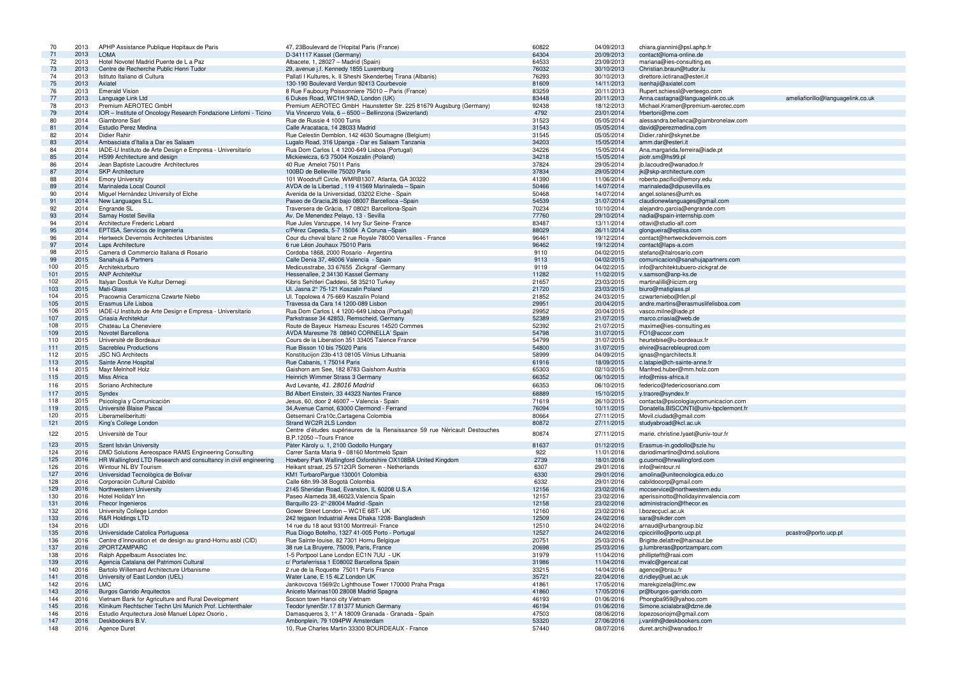| 70  | 2013 | APHP Assistance Publique Hopitaux de Paris                       | 47, 23 Boulevard de l'Hopital Paris (France)                              | 60822 | 04/09/2013 | chiara.giannini@psl.aphp.fr           |                                   |
|-----|------|------------------------------------------------------------------|---------------------------------------------------------------------------|-------|------------|---------------------------------------|-----------------------------------|
| 71  | 2013 | <b>LOMA</b>                                                      | D-341117 Kassel (Germany)                                                 | 64304 | 20/09/2013 | contact@loma-online.de                |                                   |
| 72  | 2013 | Hotel Novotel Madrid Puente de L a Paz                           | Albacete, 1, 28027 - Madrid (Spain)                                       | 64533 | 23/09/2013 | mariana@ies-consulting.es             |                                   |
| 73  | 2013 | Centre de Recherche Public Henri Tudor                           | 29, avenue j.f. Kennedy 1855 Luxemburg                                    | 76032 | 30/10/2013 | Christian.braun@tudor.lu              |                                   |
| 74  | 2013 | Istituto Italiano di Cultura                                     | Pallati I Kultures, k. Il Sheshi Skenderbej Tirana (Albanis)              | 76293 | 30/10/2013 | direttore.iictirana@esteri.it         |                                   |
|     | 2013 | Axiatel                                                          | 130-190 Boulevard Verdun 92413 Courbevoie                                 | 81609 | 14/11/2013 | isenhaji@axiatel.com                  |                                   |
| 75  |      |                                                                  |                                                                           |       |            |                                       |                                   |
| 76  | 2013 | <b>Emerald Vision</b>                                            | 8 Rue Faubourg Poissonniere 75010 - Paris (France)                        | 83259 | 20/11/2013 | Rupert.schiessl@verteego.com          |                                   |
| 77  | 2013 | Language Link Ltd                                                | 6 Dukes Road, WC1H 9AD, London (UK)                                       | 83448 | 20/11/2013 | Anna.castagna@languagelink.co.uk      | ameliafiorillo@languagelink.co.uk |
| 78  | 2013 | Premium AEROTEC GmbH                                             | Premium AEROTEC GmbH Haunstetter Str. 225 81679 Augsburg (Germany)        | 92438 | 18/12/2013 | Michael.Kramer@premium-aerotec.com    |                                   |
| 79  | 2014 | IOR - Institute of Oncology Research Fondazione Linfomi - Ticino | Via Vincenzo Vela, 6 – 6500 – Bellinzona (Swizerland)                     | 4792  | 23/01/2014 | frbertoni@me.com                      |                                   |
| 80  | 2014 | Giambrone Sarl                                                   | Rue de Russie 4 1000 Tunis                                                | 31523 | 05/05/2014 | alessandra.bellanca@giambronelaw.com  |                                   |
| 81  | 2014 | Estudio Perez Medina                                             | Calle Aracataca, 14 28033 Madrid                                          | 31543 | 05/05/2014 | david@perezmedina.com                 |                                   |
| 82  | 2014 | Didier Rahir                                                     | Rue Celestin Demblon, 142 4630 Soumagne (Belgium)                         | 31545 | 05/05/2014 | Didier.rahir@skynet.be                |                                   |
|     |      |                                                                  |                                                                           |       |            |                                       |                                   |
| 83  | 2014 | Ambasciata d'Italia a Dar es Salaam                              | Lugalo Road, 316 Upanga - Dar es Salaam Tanzania                          | 34203 | 15/05/2014 | amm.dar@esteri.it                     |                                   |
| 84  | 2014 | IADE-U Instituto de Arte Design e Empresa - Universitario        | Rua Dom Carlos I, 4 1200-649 Lisboa (Portugal)                            | 34226 | 15/05/2014 | Ana.margarida.ferreira@iade.pt        |                                   |
| 85  | 2014 | HS99 Architecture and design                                     | Mickiewicza, 6/3 75004 Koszalin (Poland)                                  | 34218 | 15/05/2014 | piotr.sm@hs99.pl                      |                                   |
| 86  | 2014 | Jean Baptiste Lacoudre Architectures                             | 40 Rue Amelot 75011 Paris                                                 | 37824 | 29/05/2014 | jb.lacoudre@wanadoo.fr                |                                   |
| 87  | 2014 | <b>SKP Architecture</b>                                          | 100BD de Belleville 75020 Paris                                           | 37834 | 29/05/2014 | jk@skp-architecture.com               |                                   |
| 88  | 2014 | <b>Emory University</b>                                          | 101 Woodruff Circle, WMRB1307, Atlanta, GA 30322                          | 41390 | 11/06/2014 | roberto.pacifici@emory.edu            |                                   |
| 89  | 2014 | Marinaleda Local Council                                         | AVDA de la Libertad, 119 41569 Marinaleda - Spain                         | 50466 | 14/07/2014 | marinaleda@dipusevilla.es             |                                   |
| 90  | 2014 |                                                                  |                                                                           | 50468 | 14/07/2014 | angel.solanes@umh.es                  |                                   |
|     |      | Miguel Hernàndez University of Elche                             | Avenida de la Universidad, 03202 Elche - Spain                            |       |            |                                       |                                   |
| 91  | 2014 | New Languages S.L.                                               | Paseo de Gracia, 26 bajo 08007 Barcelloca - Spain                         | 54539 | 31/07/2014 | claudionewlanguages@gmail.com         |                                   |
| 92  | 2014 | Engrande SL                                                      | Traversera de Gràcia, 17 08021 Barcellona-Spain                           | 70234 | 10/10/2014 | alejandro.garcia@engrande.com         |                                   |
| 93  | 2014 | Samay Hostel Sevilla                                             | Av. De Menendez Pelayo, 13 - Sevilla                                      | 77760 | 29/10/2014 | nadia@spain-internship.com            |                                   |
| 94  | 2014 | Architecture Frederic Lebard                                     | Rue Jules Vanzuppe, 14 Ivry Sur Seine- France                             | 83487 | 13/11/2014 | ottavi@studio-alf.com                 |                                   |
| 95  | 2014 | EPTISA, Servicios de Ingeniería                                  | c/Pérez Cepeda, 5-7 15004 A Coruna - Spain                                | 88029 | 26/11/2014 | glongueira@eptisa.com                 |                                   |
| 96  | 2014 | Hertweck Devernois Architectes Urbanistes                        | Cour du cheval blanc 2 rue Royale 78000 Versailles - France               | 96461 | 19/12/2014 | contact@hertweckdevernois.com         |                                   |
| 97  | 2014 | Laps Architecture                                                | 6 rue Léon Jouhaux 75010 Paris                                            | 96462 | 19/12/2014 | contact@laps-a.com                    |                                   |
|     |      |                                                                  |                                                                           |       |            |                                       |                                   |
| 98  | 2015 | Camera di Commercio Italiana di Rosario                          | Cordoba 1868, 2000 Rosario - Argentina                                    | 9110  | 04/02/2015 | stefano@italrosario.com               |                                   |
| 99  | 2015 | Sanahuja & Partners                                              | Calle Denia 37, 46006 Valencia - Spain                                    | 9113  | 04/02/2015 | comunicacion@sanahujapartners.com     |                                   |
| 100 | 2015 | Architekturburo                                                  | Medicusstrabe, 33 67655 Zickgraf - Germany                                | 9119  | 04/02/2015 | info@architektubuero-zickgraf.de      |                                   |
| 101 | 2015 | <b>ANP ArchiteKtur</b>                                           | Hessenallee, 2 34130 Kassel Germany                                       | 11282 | 11/02/2015 | v.samson@anp-ks.de                    |                                   |
| 102 | 2015 | Italyan Dostluk Ve Kultur Dernegi                                | Kibris Sehitleri Caddesi, 58 35210 Turkey                                 | 21657 | 23/03/2015 | martinalilli@iicizm.org               |                                   |
| 103 | 2015 | Mati-Glass                                                       | UI. Jasna 2° 75-121 Koszalin Poland                                       | 21720 | 23/03/2015 | biuro@matiglass.pl                    |                                   |
| 104 | 2015 | Pracownia Ceramiczna Czwarte Niebo                               | UI. Topolowa 4 75-669 Kaszalin Poland                                     | 21852 | 24/03/2015 | czwarteniebo@tlen.pl                  |                                   |
|     | 2015 |                                                                  |                                                                           | 29951 |            |                                       |                                   |
| 105 |      | Erasmus Life Lisboa                                              | Travessa da Cara 14 1200-089 Lisbon                                       |       | 20/04/2015 | andre.martins@erasmuslifelisboa.com   |                                   |
| 106 | 2015 | IADE-U Instituto de Arte Design e Empresa - Universitario        | Rua Dom Carlos I, 4 1200-649 Lisboa (Portugal)                            | 29952 | 20/04/2015 | vasco.milne@iade.pt                   |                                   |
| 107 | 2015 | Criasia Architektur                                              | Parkstrasse 34 42853, Remscheid, Germany                                  | 52389 | 21/07/2015 | marco.criasia@web.de                  |                                   |
| 108 | 2015 | Chateau La Cheneviere                                            | Route de Bayeux Hameau Escures 14520 Commes                               | 52392 | 21/07/2015 | maxime@ies-consulting.es              |                                   |
| 109 | 2015 | Novotel Barcellona                                               | AVDA Maresme 78 08940 CORNELLA' Spain                                     | 54798 | 31/07/2015 | FO1@accor.com                         |                                   |
| 110 | 2015 | Universitè de Bordeaux                                           | Cours de la Liberation 351 33405 Talence France                           | 54799 | 31/07/2015 | heurtebise@u-bordeaux.fr              |                                   |
| 111 | 2015 | <b>Sacrebleu Productions</b>                                     | Rue Bisson 10 bis 75020 Paris                                             | 54800 | 31/07/2015 | elvire@sacrebleuprod.com              |                                   |
| 112 | 2015 | <b>JSC NG Architects</b>                                         | Konstitucijon 23b-413 08105 Vilnius Lithuania                             | 58999 | 04/09/2015 | ignas@ngarchitects.lt                 |                                   |
|     | 2015 |                                                                  | Rue Cabanis, 175014 Paris                                                 | 61916 |            | c.latapie@ch-sainte-anne.fr           |                                   |
| 113 |      | Sainte Anne Hospital                                             |                                                                           |       | 18/09/2015 |                                       |                                   |
| 114 | 2015 | Mayr Melnholf Holz                                               | Gaishorn am See, 182 8783 Gaishorn Austria                                | 65303 | 02/10/2015 | Manfred.huber@mm.holz.com             |                                   |
| 115 | 2015 | Miss Africa                                                      | Heinrich Wimmer Strass 3 Germany                                          | 66352 | 06/10/2015 | info@miss-africa.it                   |                                   |
| 116 | 2015 | Soriano Architecture                                             | Avd Levante, 41. 28016 Madrid                                             | 66353 | 06/10/2015 | federico@federicosoriano.com          |                                   |
| 117 | 2015 | Syndex                                                           | Bd Albert Einstein, 33 44323 Nantes France                                | 68889 | 15/10/2015 | y.traore@syndex.fr                    |                                   |
| 118 | 2015 | Psicología y Comunicación                                        | Jesus, 60, door 2 46007 - Valencia - Spain                                | 71619 | 26/10/2015 | contacta@psicologiaycomunicacion.com  |                                   |
|     |      | Université Blaise Pascal                                         | 34, Avenue Carnot, 63000 Clermond - Ferrand                               | 76094 |            | Donatella.BISCONTI@univ-bpclermont.fr |                                   |
| 119 | 2015 |                                                                  |                                                                           |       | 10/11/2015 |                                       |                                   |
| 120 | 2015 | Liberameliberitutti                                              | Getsemanì Cra10c, Cartagena Colombia                                      | 80664 | 27/11/2015 | Movil.ciudad@gmail.com                |                                   |
| 121 | 2015 | King's College London                                            | Strand WC2R 2LS London                                                    | 80872 | 27/11/2015 | studyabroad@kcl.ac.uk                 |                                   |
| 122 | 2015 | Universitè de Tour                                               | Centre d'études supérieures de la Renaissance 59 rue Néricault Destouches | 80874 | 27/11/2015 | marie. christine.lyaet@univ-tour.fr   |                                   |
|     |      |                                                                  | B.P.12050 - Tours France                                                  |       |            |                                       |                                   |
| 123 | 2015 | Szent Istvàn University                                          | Pàter Kàroly u. 1, 2100 Godollo Hungary                                   | 81637 | 01/12/2015 | Erasmus-in.godollo@szie.hu            |                                   |
| 124 | 2016 | DMD Solutions Aereospace RAMS Engineering Consulting             | Carrer Santa Maria 9 - 08160 Montmelò Spain                               | 922   | 11/01/2016 | dariodimartino@dmd.solutions          |                                   |
| 125 | 2016 | HR Wallingford LTD Research and consultancy in civil engineering | Howbery Park Wallingford Oxfordshire OX108BA United Kingdom               | 2739  | 18/01/2016 | g.cuomo@hrwallingford.com             |                                   |
| 126 | 2016 | Wintour NL BV Tourism                                            | Heikant straat, 25 5712GR Someren - Netherlands                           | 6307  | 29/01/2016 | info@wintour.nl                       |                                   |
|     |      |                                                                  |                                                                           |       |            |                                       |                                   |
| 127 | 2016 | Universidad Tecnològica de Bolivar                               | KM1 TurbaroPargue 130001 Colombia                                         | 6330  | 29/01/2016 | amolina@unitecnologica.edu.co         |                                   |
| 128 | 2016 | Corporaciòn Cultural Cabildo                                     | Calle 68n.99-38 Bogotà Colombia                                           | 6332  | 29/01/2016 | cabildocorp@gmail.com                 |                                   |
| 129 | 2016 | Northwestern University                                          | 2145 Sheridan Road, Evanston, IL 60208 U.S.A                              | 12156 | 23/02/2016 | mccservice@northwestern.edu           |                                   |
| 130 | 2016 | Hotel HolidaY Inn                                                | Paseo Alameda 38,46023, Valencia Spain                                    | 12157 | 23/02/2016 | aperissinotto@holidayinnvalencia.com  |                                   |
| 131 | 2016 | Fhecor Ingenieros                                                | Barquillo 23-2°-28004 Madrid -Spain                                       | 12158 | 23/02/2016 | administracion@fhecor.es              |                                   |
| 132 | 2016 | University College London                                        | Gower Street London - WC1E 6BT- UK                                        | 12160 | 23/02/2016 | I.bozecçucl.ac.uk                     |                                   |
| 133 | 2016 | R&R Holdings LTD                                                 | 242 tejgaon Induatrial Area Dhaka 1208- Bangladesh                        | 12509 | 24/02/2016 | sara@sikder.com                       |                                   |
| 134 | 2016 | UDI                                                              | 14 rue du 18 aout 93100 Montreuil- France                                 | 12510 | 24/02/2016 | arnaud@urbangroup.biz                 |                                   |
|     |      |                                                                  |                                                                           | 12527 |            | cpiccirillo@porto.ucp.pt              |                                   |
| 135 | 2016 | Universidade Catolica Portuguesa                                 | Rua Diogo Botelho, 1327 41-005 Porto - Portugal                           |       | 24/02/2016 |                                       | pcastro@porto.ucp.pt              |
| 136 | 2016 | Centre d'Innovation et de design au grand-Hornu asbl (CID)       | Rue Sainte-Iouise, 82 7301 Hornu Belgique                                 | 20751 | 25/03/2016 | Brigitte.delattre@hainaut.be          |                                   |
| 137 | 2016 | 2PORTZAMPARC                                                     | 38 rue La Bruyere, 75009, Paris, France                                   | 20698 | 25/03/2016 | g.lumbreras@portzamparc.com           |                                   |
| 138 | 2016 | Ralph Appelbaum Associates Inc.                                  | 1-5 Portpool Lane London EC1N 7UU - UK                                    | 31979 | 11/04/2016 | philliptefft@raai.com                 |                                   |
| 139 | 2016 | Agencia Catalana del Patrimoni Cultural                          | c/ Portaferrissa 1 E08002 Barcellona Spain                                | 31986 | 11/04/2016 | mvalc@gencat.cat                      |                                   |
| 140 | 2016 | Bartolo Willemard Architecture Urbanisme                         | 2 rue de la Roquette 75011 Paris France                                   | 33215 | 14/04/2016 | agence@brau.fr                        |                                   |
| 141 | 2016 | University of East London (UEL)                                  | Water Lane, E 15 4LZ London UK                                            | 35721 | 22/04/2016 | d.ridley@uel.ac.uk                    |                                   |
| 142 | 2016 | <b>LMC</b>                                                       | Jankovcova 1569/2c Lighthouse Tower 170000 Praha Praga                    | 41861 | 17/05/2016 | marekgizela@Imc.ew                    |                                   |
| 143 | 2016 | <b>Burgos Garrido Arquitectos</b>                                | Aniceto Marinas100 28008 Madrid Spagna                                    | 41860 | 17/05/2016 | pr@burgos-garrido.com                 |                                   |
|     |      |                                                                  |                                                                           |       |            |                                       |                                   |
| 144 | 2016 | Vietnam Bank for Agriculture and Rural Development               | Socson town Hanoi city Vietnam                                            | 46193 | 01/06/2016 | Phongba959@yahoo.com                  |                                   |
| 145 | 2016 | Klinikum Rechtscher Techn Uni Munich Prof. Lichtenthaler         | Teodor lynenStr.17 81377 Munich Germany                                   | 46194 | 01/06/2016 | Simone.scialabra@dzne.de              |                                   |
| 146 | 2016 | Estudio Arquitectura Josè Manuel Lòpez Osorio,                   | Damasqueros 3, 1º A 18009 Granada - Granada - Spain                       | 47503 | 08/06/2016 | lopezosoriojm@gmail.com               |                                   |
| 147 | 2016 | Deskbookers B.V.                                                 | Ambonplein, 79 1094PW Amsterdam                                           | 53320 | 27/06/2016 | j.vanlith@deskbookers.com             |                                   |
| 148 | 2016 | Agence Duret                                                     | 10, Rue Charles Martin 33300 BOURDEAUX - France                           | 57440 | 08/07/2016 | duret.archi@wanadoo.fr                |                                   |
|     |      |                                                                  |                                                                           |       |            |                                       |                                   |

| om            |                                   |
|---------------|-----------------------------------|
| k.co.uk       | ameliafiorillo@languagelink.co.uk |
| erotec.com    |                                   |
|               |                                   |
| ronelaw.com   |                                   |
|               |                                   |
|               |                                   |
|               |                                   |
| e.pt          |                                   |
|               |                                   |
|               |                                   |
|               |                                   |
|               |                                   |
|               |                                   |
|               |                                   |
| I.com         |                                   |
| com           |                                   |
|               |                                   |
|               |                                   |
|               |                                   |
| .com          |                                   |
|               |                                   |
|               |                                   |
| tners.com     |                                   |
| af.de         |                                   |
|               |                                   |
|               |                                   |
|               |                                   |
|               |                                   |
| sboa.com      |                                   |
|               |                                   |
|               |                                   |
|               |                                   |
|               |                                   |
|               |                                   |
|               |                                   |
|               |                                   |
|               |                                   |
| m             |                                   |
|               |                                   |
| m             |                                   |
|               |                                   |
| icacion.com   |                                   |
| ppclermont.fr |                                   |
|               |                                   |
|               |                                   |
| our.fr        |                                   |
|               |                                   |
|               |                                   |
| าร            |                                   |
|               |                                   |
|               |                                   |
| I.CO          |                                   |
|               |                                   |
| du            |                                   |
| encia.com     |                                   |
|               |                                   |
|               |                                   |
|               |                                   |
|               |                                   |
|               | pcastro@porto.ucp.pt              |
|               |                                   |
| om            |                                   |
|               |                                   |
|               |                                   |
|               |                                   |
|               |                                   |
|               |                                   |
|               |                                   |
|               |                                   |
|               |                                   |
|               |                                   |
|               |                                   |
|               |                                   |